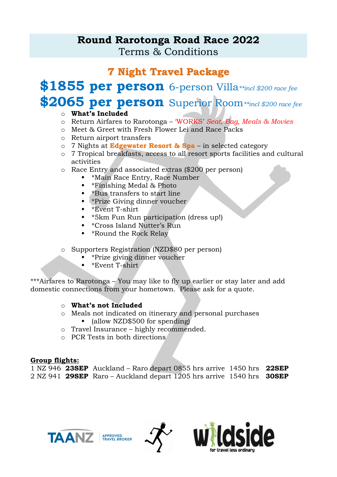# **Round Rarotonga Road Race 2022** Terms & Conditions

# **7 Night Travel Package**

# **\$1855 per person** 6-person Villa*\*\*incl \$200 race fee* **\$2065 per person** Superior Room*\*\*incl \$200 race fee*

# o **What's Included**

- o Return Airfares to Rarotonga 'WORKS' *Seat, Bag, Meals & Movies*
- o Meet & Greet with Fresh Flower Lei and Race Packs
- o Return airport transfers
- o 7 Nights at **Edgewater Resort & Spa**  in selected category
- o 7 Tropical breakfasts, access to all resort sports facilities and cultural activities
- o Race Entry and associated extras (\$200 per person)
	- \*Main Race Entry, Race Number
	- \*Finishing Medal & Photo
	- \*Bus transfers to start line
	- \*Prize Giving dinner voucher
	- \*Event T-shirt
	- \*5km Fun Run participation (dress up!)
	- \*Cross Island Nutter's Run
	- \*Round the Rock Relay
- o Supporters Registration (NZD\$80 per person)
	- **•** \*Prize giving dinner voucher
	- $\bullet$  \*Event T-shirt

\*\*\*Airfares to Rarotonga – You may like to fly up earlier or stay later and add domestic connections from your hometown. Please ask for a quote.

# o **What's not Included**

- o Meals not indicated on itinerary and personal purchases ■ (allow NZD\$500 for spending)
- o Travel Insurance highly recommended.
- o PCR Tests in both directions

# **Group flights:**

|  | 1 NZ 946 23SEP Auckland – Raro depart 0855 hrs arrive 1450 hrs 22SEP |  |  |  |
|--|----------------------------------------------------------------------|--|--|--|
|  | 2 NZ 941 29SEP Raro – Auckland depart 1205 hrs arrive 1540 hrs 30SEP |  |  |  |





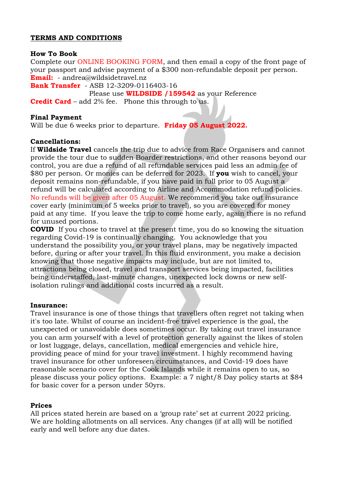#### **TERMS AND CONDITIONS**

#### **How To Book**

Complete our ONLINE BOOKING FORM, and then email a copy of the front page of your passport and advise payment of a \$300 non-refundable deposit per person. **Email:** - andrea@wildsidetravel.nz

**Bank Transfer** - ASB 12-3209-0116403-16

 Please use **WILDSIDE /159542** as your Reference **Credit Card** – add 2% fee. Phone this through to us.

#### **Final Payment**

Will be due 6 weeks prior to departure. **Friday 05 August 2022.**

#### **Cancellations:**

If **Wildside Travel** cancels the trip due to advice from Race Organisers and cannot provide the tour due to sudden Boarder restrictions, and other reasons beyond our control, you are due a refund of all refundable services paid less an admin fee of \$80 per person. Or monies can be deferred for 2023. If **you** wish to cancel, your deposit remains non-refundable, if you have paid in full prior to 05 August a refund will be calculated according to Airline and Accommodation refund policies. No refunds will be given after 05 August. We recommend you take out insurance cover early (minimum of 5 weeks prior to travel), so you are covered for money paid at any time. If you leave the trip to come home early, again there is no refund for unused portions.

**COVID** If you chose to travel at the present time, you do so knowing the situation regarding Covid-19 is continually changing. You acknowledge that you understand the possibility you, or your travel plans, may be negatively impacted before, during or after your travel. In this fluid environment, you make a decision knowing that those negative impacts may include, but are not limited to, attractions being closed, travel and transport services being impacted, facilities being understaffed, last-minute changes, unexpected lock downs or new selfisolation rulings and additional costs incurred as a result.

#### **Insurance:**

Travel insurance is one of those things that travellers often regret not taking when it's too late. Whilst of course an incident-free travel experience is the goal, the unexpected or unavoidable does sometimes occur. By taking out travel insurance you can arm yourself with a level of protection generally against the likes of stolen or lost luggage, delays, cancellation, medical emergencies and vehicle hire, providing peace of mind for your travel investment. I highly recommend having travel insurance for other unforeseen circumstances, and Covid-19 does have reasonable scenario cover for the Cook Islands while it remains open to us, so please discuss your policy options. Example: a 7 night/8 Day policy starts at \$84 for basic cover for a person under 50yrs.

#### **Prices**

All prices stated herein are based on a 'group rate' set at current 2022 pricing. We are holding allotments on all services. Any changes (if at all) will be notified early and well before any due dates.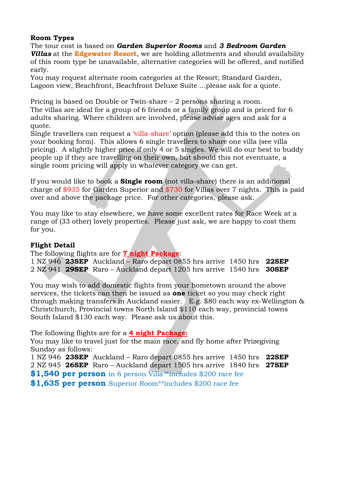### **Room Types**

The tour cost is based on *Garden Superior Rooms* and *3 Bedroom Garden Villas* at the **Edgewater Resort**, we are holding allotments and should availability of this room type be unavailable, alternative categories will be offered, and notified early.

You may request alternate room categories at the Resort; Standard Garden, Lagoon view, Beachfront, Beachfront Deluxe Suite ...please ask for a quote.

Pricing is based on Double or Twin-share – 2 persons sharing a room.

The villas are ideal for a group of 6 friends or a family group and is priced for 6 adults sharing. Where children are involved, please advise ages and ask for a quote.

Single travellers can request a 'villa-share' option (please add this to the notes on your booking form). This allows 6 single travellers to share one villa (see villa pricing). A slightly higher price if only 4 or 5 singles. We will do our best to buddy people up if they are travelling on their own, but should this not eventuate, a single room pricing will apply in whatever category we can get.

If you would like to book a **Single room** (not villa-share) there is an additional charge of \$935 for Garden Superior and \$730 for Villas over 7 nights. This is paid over and above the package price. For other categories, please ask.

You may like to stay elsewhere, we have some excellent rates for Race Week at a range of (33 other) lovely properties. Please just ask, we are happy to cost them for you.

# **Flight Detail**

The following flights are for **7 night Package**:

1 NZ 946 **23SEP** Auckland – Raro depart 0855 hrs arrive 1450 hrs **22SEP** 2 NZ 941 **29SEP** Raro – Auckland depart 1205 hrs arrive 1540 hrs **30SEP** 

You may wish to add domestic flights from your hometown around the above services, the tickets can then be issued as **one** ticket so you may check right through making transfers in Auckland easier. E.g. \$80 each way ex-Wellington & Christchurch, Provincial towns North Island \$110 each way, provincial towns South Island \$130 each way. Please ask us about this.

The following flights are for a **4 night Package:**

You may like to travel just for the main race, and fly home after Prizegiving Sunday as follows:

1 NZ 946 **23SEP** Auckland – Raro depart 0855 hrs arrive 1450 hrs **22SEP** 2 NZ 945 **26SEP** Raro – Auckland depart 1505 hrs arrive 1840 hrs **27SEP \$1,540 per person** in 6 person Villa*\**\*includes \$200 race fee **\$1,635 per person** Superior Room\*\*includes \$200 race fee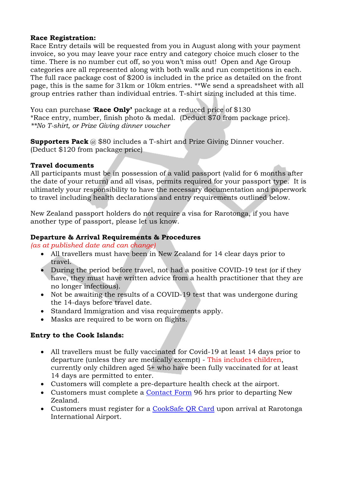## **Race Registration:**

Race Entry details will be requested from you in August along with your payment invoice, so you may leave your race entry and category choice much closer to the time. There is no number cut off, so you won't miss out! Open and Age Group categories are all represented along with both walk and run competitions in each. The full race package cost of \$200 is included in the price as detailed on the front page, this is the same for 31km or 10km entries. \*\*We send a spreadsheet with all group entries rather than individual entries. T-shirt sizing included at this time.

You can purchase '**Race Only'** package at a reduced price of \$130 \*Race entry, number, finish photo & medal. (Deduct \$70 from package price). *\*\*No T-shirt, or Prize Giving dinner voucher*

**Supporters Pack** @ \$80 includes a T-shirt and Prize Giving Dinner voucher. (Deduct \$120 from package price)

## **Travel documents**

All participants must be in possession of a valid passport (valid for 6 months after the date of your return) and all visas, permits required for your passport type. It is ultimately your responsibility to have the necessary documentation and paperwork to travel including health declarations and entry requirements outlined below.

New Zealand passport holders do not require a visa for Rarotonga, if you have another type of passport, please let us know.

## **Departure & Arrival Requirements & Procedures**

*(as at published date and can change)*

- All travellers must have been in New Zealand for 14 clear days prior to travel.
- During the period before travel, not had a positive COVID-19 test (or if they have, they must have written advice from a health practitioner that they are no longer infectious).
- Not be awaiting the results of a COVID-19 test that was undergone during the 14-days before travel date.
- Standard Immigration and visa requirements apply.
- Masks are required to be worn on flights.

# **Entry to the Cook Islands:**

- All travellers must be fully vaccinated for Covid-19 at least 14 days prior to departure (unless they are medically exempt) - This includes children, currently only children aged 5+ who have been fully vaccinated for at least 14 days are permitted to enter.
- Customers will complete a pre-departure health check at the airport.
- Customers must complete a [Contact Form](https://forms.health.gov.ck/220028780244955) 96 hrs prior to departing New Zealand.
- Customers must register for a [CookSafe QR Card](https://cookislands.travel/our-promise) upon arrival at Rarotonga International Airport.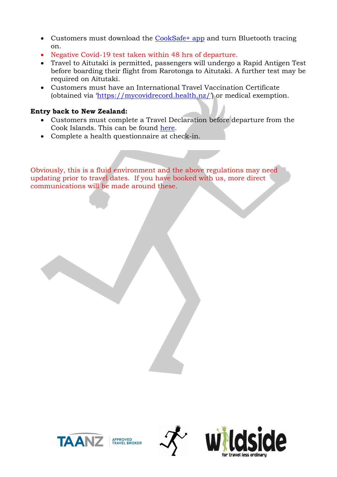- Customers must download the [CookSafe+ app](https://www.health.gov.ck/cooksafeplus/) and turn Bluetooth tracing on.
- Negative Covid-19 test taken within 48 hrs of departure.
- Travel to Aitutaki is permitted, passengers will undergo a Rapid Antigen Test before boarding their flight from Rarotonga to Aitutaki. A further test may be required on Aitutaki.
- Customers must have an International Travel Vaccination Certificate (obtained via '<https://mycovidrecord.health.nz/>') or medical exemption.

# **Entry back to New Zealand:**

- Customers must complete a Travel Declaration before departure from the Cook Islands. This can be found [here.](https://naumaira.covid19.govt.nz/#/)
- Complete a health questionnaire at check-in.

Obviously, this is a fluid environment and the above regulations may need updating prior to travel dates. If you have booked with us, more direct communications will be made around these.